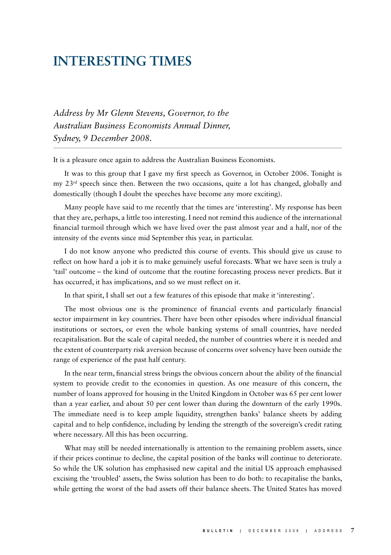## **Interesting Times**

*Address by Mr Glenn Stevens, Governor, to the Australian Business Economists Annual Dinner, Sydney, 9 December 2008.*

It is a pleasure once again to address the Australian Business Economists.

It was to this group that I gave my first speech as Governor, in October 2006. Tonight is my 23rd speech since then. Between the two occasions, quite a lot has changed, globally and domestically (though I doubt the speeches have become any more exciting).

Many people have said to me recently that the times are 'interesting'. My response has been that they are, perhaps, a little too interesting. I need not remind this audience of the international financial turmoil through which we have lived over the past almost year and a half, nor of the intensity of the events since mid September this year, in particular.

I do not know anyone who predicted this course of events. This should give us cause to reflect on how hard a job it is to make genuinely useful forecasts. What we have seen is truly a 'tail' outcome – the kind of outcome that the routine forecasting process never predicts. But it has occurred, it has implications, and so we must reflect on it.

In that spirit, I shall set out a few features of this episode that make it 'interesting'.

The most obvious one is the prominence of financial events and particularly financial sector impairment in key countries. There have been other episodes where individual financial institutions or sectors, or even the whole banking systems of small countries, have needed recapitalisation. But the scale of capital needed, the number of countries where it is needed and the extent of counterparty risk aversion because of concerns over solvency have been outside the range of experience of the past half century.

In the near term, financial stress brings the obvious concern about the ability of the financial system to provide credit to the economies in question. As one measure of this concern, the number of loans approved for housing in the United Kingdom in October was 65 per cent lower than a year earlier, and about 50 per cent lower than during the downturn of the early 1990s. The immediate need is to keep ample liquidity, strengthen banks' balance sheets by adding capital and to help confidence, including by lending the strength of the sovereign's credit rating where necessary. All this has been occurring.

What may still be needed internationally is attention to the remaining problem assets, since if their prices continue to decline, the capital position of the banks will continue to deteriorate. So while the UK solution has emphasised new capital and the initial US approach emphasised excising the 'troubled' assets, the Swiss solution has been to do both: to recapitalise the banks, while getting the worst of the bad assets off their balance sheets. The United States has moved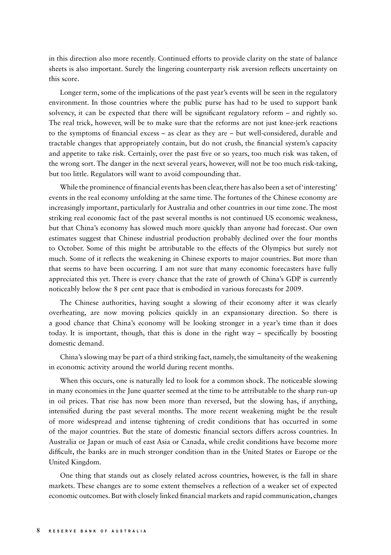in this direction also more recently. Continued efforts to provide clarity on the state of balance sheets is also important. Surely the lingering counterparty risk aversion reflects uncertainty on this score.

Longer term, some of the implications of the past year's events will be seen in the regulatory environment. In those countries where the public purse has had to be used to support bank solvency, it can be expected that there will be significant regulatory reform – and rightly so. The real trick, however, will be to make sure that the reforms are not just knee‑jerk reactions to the symptoms of financial excess – as clear as they are – but well-considered, durable and tractable changes that appropriately contain, but do not crush, the financial system's capacity and appetite to take risk. Certainly, over the past five or so years, too much risk was taken, of the wrong sort. The danger in the next several years, however, will not be too much risk‑taking, but too little. Regulators will want to avoid compounding that.

While the prominence of financial events has been clear, there has also been a set of 'interesting' events in the real economy unfolding at the same time. The fortunes of the Chinese economy are increasingly important, particularly for Australia and other countries in our time zone. The most striking real economic fact of the past several months is not continued US economic weakness, but that China's economy has slowed much more quickly than anyone had forecast. Our own estimates suggest that Chinese industrial production probably declined over the four months to October. Some of this might be attributable to the effects of the Olympics but surely not much. Some of it reflects the weakening in Chinese exports to major countries. But more than that seems to have been occurring. I am not sure that many economic forecasters have fully appreciated this yet. There is every chance that the rate of growth of China's GDP is currently noticeably below the 8 per cent pace that is embodied in various forecasts for 2009.

The Chinese authorities, having sought a slowing of their economy after it was clearly overheating, are now moving policies quickly in an expansionary direction. So there is a good chance that China's economy will be looking stronger in a year's time than it does today. It is important, though, that this is done in the right way – specifically by boosting domestic demand.

China's slowing may be part of a third striking fact, namely, the simultaneity of the weakening in economic activity around the world during recent months.

When this occurs, one is naturally led to look for a common shock. The noticeable slowing in many economies in the June quarter seemed at the time to be attributable to the sharp run-up in oil prices. That rise has now been more than reversed, but the slowing has, if anything, intensified during the past several months. The more recent weakening might be the result of more widespread and intense tightening of credit conditions that has occurred in some of the major countries. But the state of domestic financial sectors differs across countries. In Australia or Japan or much of east Asia or Canada, while credit conditions have become more difficult, the banks are in much stronger condition than in the United States or Europe or the United Kingdom.

One thing that stands out as closely related across countries, however, is the fall in share markets. These changes are to some extent themselves a reflection of a weaker set of expected economic outcomes. But with closely linked financial markets and rapid communication, changes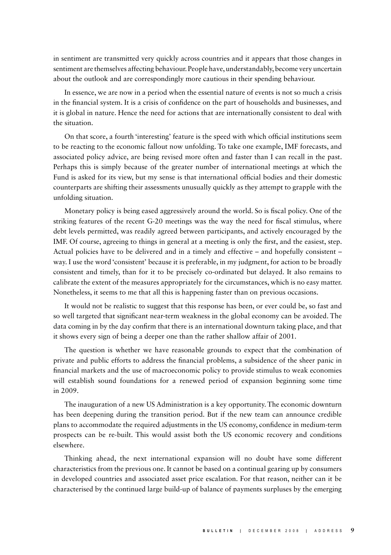in sentiment are transmitted very quickly across countries and it appears that those changes in sentiment are themselves affecting behaviour. People have, understandably, become very uncertain about the outlook and are correspondingly more cautious in their spending behaviour.

In essence, we are now in a period when the essential nature of events is not so much a crisis in the financial system. It is a crisis of confidence on the part of households and businesses, and it is global in nature. Hence the need for actions that are internationally consistent to deal with the situation.

On that score, a fourth 'interesting' feature is the speed with which official institutions seem to be reacting to the economic fallout now unfolding. To take one example, IMF forecasts, and associated policy advice, are being revised more often and faster than I can recall in the past. Perhaps this is simply because of the greater number of international meetings at which the Fund is asked for its view, but my sense is that international official bodies and their domestic counterparts are shifting their assessments unusually quickly as they attempt to grapple with the unfolding situation.

Monetary policy is being eased aggressively around the world. So is fiscal policy. One of the striking features of the recent G-20 meetings was the way the need for fiscal stimulus, where debt levels permitted, was readily agreed between participants, and actively encouraged by the IMF. Of course, agreeing to things in general at a meeting is only the first, and the easiest, step. Actual policies have to be delivered and in a timely and effective – and hopefully consistent – way. I use the word 'consistent' because it is preferable, in my judgment, for action to be broadly consistent and timely, than for it to be precisely co‑ordinated but delayed. It also remains to calibrate the extent of the measures appropriately for the circumstances, which is no easy matter. Nonetheless, it seems to me that all this is happening faster than on previous occasions.

It would not be realistic to suggest that this response has been, or ever could be, so fast and so well targeted that significant near-term weakness in the global economy can be avoided. The data coming in by the day confirm that there is an international downturn taking place, and that it shows every sign of being a deeper one than the rather shallow affair of 2001.

The question is whether we have reasonable grounds to expect that the combination of private and public efforts to address the financial problems, a subsidence of the sheer panic in financial markets and the use of macroeconomic policy to provide stimulus to weak economies will establish sound foundations for a renewed period of expansion beginning some time in 2009.

The inauguration of a new US Administration is a key opportunity. The economic downturn has been deepening during the transition period. But if the new team can announce credible plans to accommodate the required adjustments in the US economy, confidence in medium‑term prospects can be re‑built. This would assist both the US economic recovery and conditions elsewhere.

Thinking ahead, the next international expansion will no doubt have some different characteristics from the previous one. It cannot be based on a continual gearing up by consumers in developed countries and associated asset price escalation. For that reason, neither can it be characterised by the continued large build‑up of balance of payments surpluses by the emerging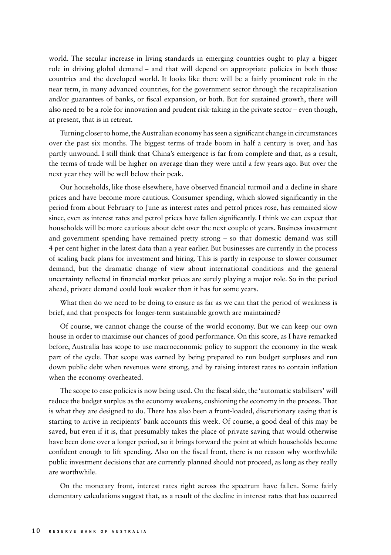world. The secular increase in living standards in emerging countries ought to play a bigger role in driving global demand – and that will depend on appropriate policies in both those countries and the developed world. It looks like there will be a fairly prominent role in the near term, in many advanced countries, for the government sector through the recapitalisation and/or guarantees of banks, or fiscal expansion, or both. But for sustained growth, there will also need to be a role for innovation and prudent risk‑taking in the private sector – even though, at present, that is in retreat.

Turning closer to home, the Australian economy has seen a significant change in circumstances over the past six months. The biggest terms of trade boom in half a century is over, and has partly unwound. I still think that China's emergence is far from complete and that, as a result, the terms of trade will be higher on average than they were until a few years ago. But over the next year they will be well below their peak.

Our households, like those elsewhere, have observed financial turmoil and a decline in share prices and have become more cautious. Consumer spending, which slowed significantly in the period from about February to June as interest rates and petrol prices rose, has remained slow since, even as interest rates and petrol prices have fallen significantly. I think we can expect that households will be more cautious about debt over the next couple of years. Business investment and government spending have remained pretty strong – so that domestic demand was still 4 per cent higher in the latest data than a year earlier. But businesses are currently in the process of scaling back plans for investment and hiring. This is partly in response to slower consumer demand, but the dramatic change of view about international conditions and the general uncertainty reflected in financial market prices are surely playing a major role. So in the period ahead, private demand could look weaker than it has for some years.

What then do we need to be doing to ensure as far as we can that the period of weakness is brief, and that prospects for longer-term sustainable growth are maintained?

Of course, we cannot change the course of the world economy. But we can keep our own house in order to maximise our chances of good performance. On this score, as I have remarked before, Australia has scope to use macroeconomic policy to support the economy in the weak part of the cycle. That scope was earned by being prepared to run budget surpluses and run down public debt when revenues were strong, and by raising interest rates to contain inflation when the economy overheated.

The scope to ease policies is now being used. On the fiscal side, the 'automatic stabilisers' will reduce the budget surplus as the economy weakens, cushioning the economy in the process. That is what they are designed to do. There has also been a front‑loaded, discretionary easing that is starting to arrive in recipients' bank accounts this week. Of course, a good deal of this may be saved, but even if it is, that presumably takes the place of private saving that would otherwise have been done over a longer period, so it brings forward the point at which households become confident enough to lift spending. Also on the fiscal front, there is no reason why worthwhile public investment decisions that are currently planned should not proceed, as long as they really are worthwhile.

On the monetary front, interest rates right across the spectrum have fallen. Some fairly elementary calculations suggest that, as a result of the decline in interest rates that has occurred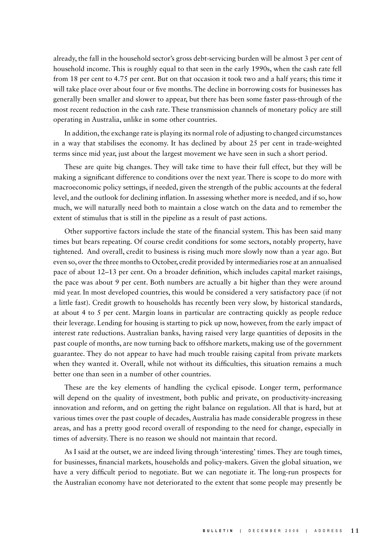already, the fall in the household sector's gross debt-servicing burden will be almost 3 per cent of household income. This is roughly equal to that seen in the early 1990s, when the cash rate fell from 18 per cent to 4.75 per cent. But on that occasion it took two and a half years; this time it will take place over about four or five months. The decline in borrowing costs for businesses has generally been smaller and slower to appear, but there has been some faster pass‑through of the most recent reduction in the cash rate. These transmission channels of monetary policy are still operating in Australia, unlike in some other countries.

In addition, the exchange rate is playing its normal role of adjusting to changed circumstances in a way that stabilises the economy. It has declined by about  $25$  per cent in trade-weighted terms since mid year, just about the largest movement we have seen in such a short period.

These are quite big changes. They will take time to have their full effect, but they will be making a significant difference to conditions over the next year. There is scope to do more with macroeconomic policy settings, if needed, given the strength of the public accounts at the federal level, and the outlook for declining inflation. In assessing whether more is needed, and if so, how much, we will naturally need both to maintain a close watch on the data and to remember the extent of stimulus that is still in the pipeline as a result of past actions.

Other supportive factors include the state of the financial system. This has been said many times but bears repeating. Of course credit conditions for some sectors, notably property, have tightened. And overall, credit to business is rising much more slowly now than a year ago. But even so, over the three months to October, credit provided by intermediaries rose at an annualised pace of about 12–13 per cent. On a broader definition, which includes capital market raisings, the pace was about 9 per cent. Both numbers are actually a bit higher than they were around mid year. In most developed countries, this would be considered a very satisfactory pace (if not a little fast). Credit growth to households has recently been very slow, by historical standards, at about 4 to 5 per cent. Margin loans in particular are contracting quickly as people reduce their leverage. Lending for housing is starting to pick up now, however, from the early impact of interest rate reductions. Australian banks, having raised very large quantities of deposits in the past couple of months, are now turning back to offshore markets, making use of the government guarantee. They do not appear to have had much trouble raising capital from private markets when they wanted it. Overall, while not without its difficulties, this situation remains a much better one than seen in a number of other countries.

These are the key elements of handling the cyclical episode. Longer term, performance will depend on the quality of investment, both public and private, on productivity–increasing innovation and reform, and on getting the right balance on regulation. All that is hard, but at various times over the past couple of decades, Australia has made considerable progress in these areas, and has a pretty good record overall of responding to the need for change, especially in times of adversity. There is no reason we should not maintain that record.

As I said at the outset, we are indeed living through 'interesting' times. They are tough times, for businesses, financial markets, households and policy-makers. Given the global situation, we have a very difficult period to negotiate. But we can negotiate it. The long-run prospects for the Australian economy have not deteriorated to the extent that some people may presently be